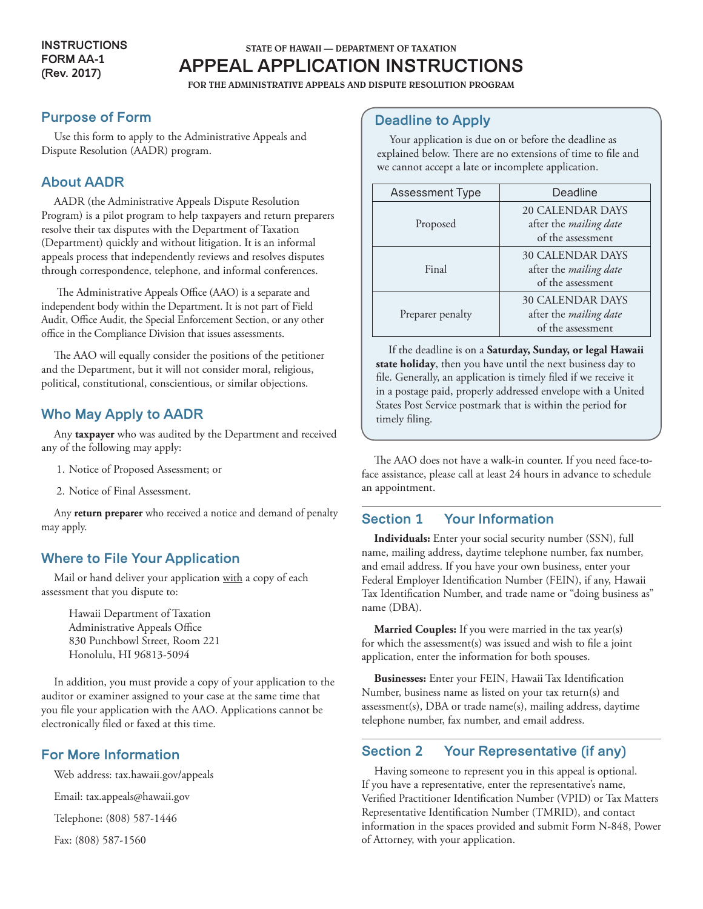# STATE OF HAWAII — DEPARTMENT OF TAXATION

**APPEAL APPLICATION INSTRUCTIONS**

FOR THE ADMINISTRATIVE APPEALS AND DISPUTE RESOLUTION PROGRAM

## **Purpose of Form**

Use this form to apply to the Administrative Appeals and Dispute Resolution (AADR) program.

## **About AADR**

AADR (the Administrative Appeals Dispute Resolution Program) is a pilot program to help taxpayers and return preparers resolve their tax disputes with the Department of Taxation (Department) quickly and without litigation. It is an informal appeals process that independently reviews and resolves disputes through correspondence, telephone, and informal conferences.

 The Administrative Appeals Office (AAO) is a separate and independent body within the Department. It is not part of Field Audit, Office Audit, the Special Enforcement Section, or any other office in the Compliance Division that issues assessments.

The AAO will equally consider the positions of the petitioner and the Department, but it will not consider moral, religious, political, constitutional, conscientious, or similar objections.

### **Who May Apply to AADR**

Any **taxpayer** who was audited by the Department and received any of the following may apply:

- 1. Notice of Proposed Assessment; or
- 2. Notice of Final Assessment.

Any **return preparer** who received a notice and demand of penalty may apply.

## **Where to File Your Application**

Mail or hand deliver your application with a copy of each assessment that you dispute to:

Hawaii Department of Taxation Administrative Appeals Office 830 Punchbowl Street, Room 221 Honolulu, HI 96813-5094

In addition, you must provide a copy of your application to the auditor or examiner assigned to your case at the same time that you file your application with the AAO. Applications cannot be electronically filed or faxed at this time.

## **For More Information**

Web address: tax.hawaii.gov/appeals

Email: tax.appeals@hawaii.gov

Telephone: (808) 587-1446

Fax: (808) 587-1560

### **Deadline to Apply**

Your application is due on or before the deadline as explained below. There are no extensions of time to file and we cannot accept a late or incomplete application.

| Assessment Type  | Deadline                                                                      |
|------------------|-------------------------------------------------------------------------------|
| Proposed         | <b>20 CALENDAR DAYS</b><br>after the <i>mailing date</i><br>of the assessment |
| Final            | <b>30 CALENDAR DAYS</b><br>after the mailing date<br>of the assessment        |
| Preparer penalty | <b>30 CALENDAR DAYS</b><br>after the mailing date<br>of the assessment        |

If the deadline is on a **Saturday, Sunday, or legal Hawaii state holiday**, then you have until the next business day to file. Generally, an application is timely filed if we receive it in a postage paid, properly addressed envelope with a United States Post Service postmark that is within the period for timely filing.

The AAO does not have a walk-in counter. If you need face-toface assistance, please call at least 24 hours in advance to schedule an appointment.

## **Section 1 Your Information**

**Individuals:** Enter your social security number (SSN), full name, mailing address, daytime telephone number, fax number, and email address. If you have your own business, enter your Federal Employer Identification Number (FEIN), if any, Hawaii Tax Identification Number, and trade name or "doing business as" name (DBA).

**Married Couples:** If you were married in the tax year(s) for which the assessment(s) was issued and wish to file a joint application, enter the information for both spouses.

**Businesses:** Enter your FEIN, Hawaii Tax Identification Number, business name as listed on your tax return(s) and assessment(s), DBA or trade name(s), mailing address, daytime telephone number, fax number, and email address.

## **Section 2 Your Representative (if any)**

Having someone to represent you in this appeal is optional. If you have a representative, enter the representative's name, Verified Practitioner Identification Number (VPID) or Tax Matters Representative Identification Number (TMRID), and contact information in the spaces provided and submit Form N-848, Power of Attorney, with your application.